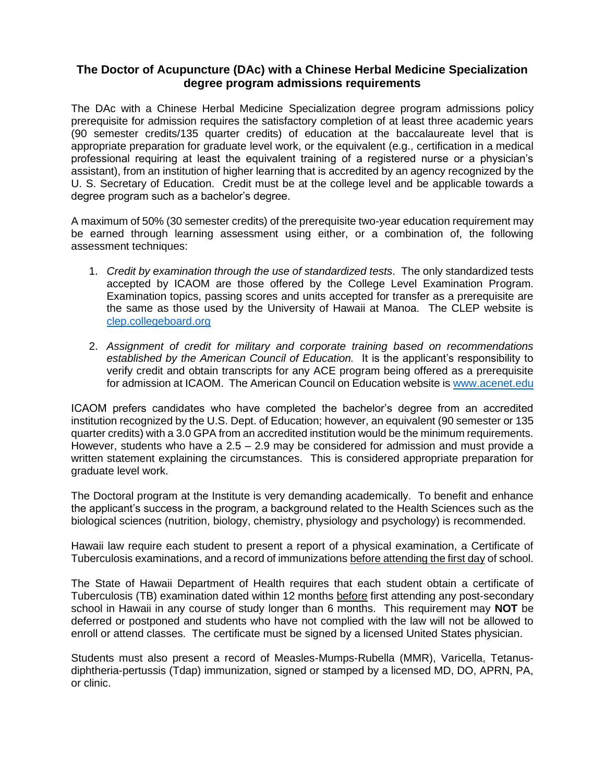## **The Doctor of Acupuncture (DAc) with a Chinese Herbal Medicine Specialization degree program admissions requirements**

The DAc with a Chinese Herbal Medicine Specialization degree program admissions policy prerequisite for admission requires the satisfactory completion of at least three academic years (90 semester credits/135 quarter credits) of education at the baccalaureate level that is appropriate preparation for graduate level work, or the equivalent (e.g., certification in a medical professional requiring at least the equivalent training of a registered nurse or a physician's assistant), from an institution of higher learning that is accredited by an agency recognized by the U. S. Secretary of Education. Credit must be at the college level and be applicable towards a degree program such as a bachelor's degree.

A maximum of 50% (30 semester credits) of the prerequisite two-year education requirement may be earned through learning assessment using either, or a combination of, the following assessment techniques:

- 1. *Credit by examination through the use of standardized tests*. The only standardized tests accepted by ICAOM are those offered by the College Level Examination Program. Examination topics, passing scores and units accepted for transfer as a prerequisite are the same as those used by the University of Hawaii at Manoa. The CLEP website is [clep.collegeboard.org](mailto:clep@collegeboard.org)
- 2. *Assignment of credit for military and corporate training based on recommendations established by the American Council of Education.* It is the applicant's responsibility to verify credit and obtain transcripts for any ACE program being offered as a prerequisite for admission at ICAOM. The American Council on Education website i[s www.acenet.edu](http://www.acenet.edu/)

ICAOM prefers candidates who have completed the bachelor's degree from an accredited institution recognized by the U.S. Dept. of Education; however, an equivalent (90 semester or 135 quarter credits) with a 3.0 GPA from an accredited institution would be the minimum requirements. However, students who have a 2.5 – 2.9 may be considered for admission and must provide a written statement explaining the circumstances. This is considered appropriate preparation for graduate level work.

The Doctoral program at the Institute is very demanding academically. To benefit and enhance the applicant's success in the program, a background related to the Health Sciences such as the biological sciences (nutrition, biology, chemistry, physiology and psychology) is recommended.

Hawaii law require each student to present a report of a physical examination, a Certificate of Tuberculosis examinations, and a record of immunizations before attending the first day of school.

The State of Hawaii Department of Health requires that each student obtain a certificate of Tuberculosis (TB) examination dated within 12 months before first attending any post-secondary school in Hawaii in any course of study longer than 6 months. This requirement may **NOT** be deferred or postponed and students who have not complied with the law will not be allowed to enroll or attend classes. The certificate must be signed by a licensed United States physician.

Students must also present a record of Measles-Mumps-Rubella (MMR), Varicella, Tetanusdiphtheria-pertussis (Tdap) immunization, signed or stamped by a licensed MD, DO, APRN, PA, or clinic.